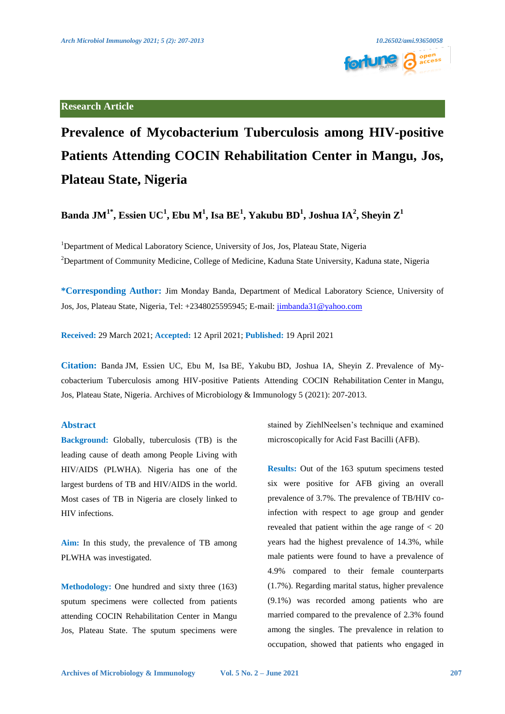

# **Research Article**

# **Prevalence of Mycobacterium Tuberculosis among HIV-positive Patients Attending COCIN Rehabilitation Center in Mangu, Jos, Plateau State, Nigeria**

 $\mathbf{B}$ anda JM $^{1*}$ , Essien UC $^{1}$ , Ebu M $^{1}$ , Isa BE $^{1}$ , Yakubu BD $^{1}$ , Joshua IA $^{2}$ , Sheyin  $\mathbf{Z}^{1}$ 

<sup>1</sup>Department of Medical Laboratory Science, University of Jos, Jos, Plateau State, Nigeria <sup>2</sup>Department of Community Medicine, College of Medicine, Kaduna State University, Kaduna state, Nigeria

**\*Corresponding Author:** Jim Monday Banda, Department of Medical Laboratory Science, University of Jos, Jos, Plateau State, Nigeria, Tel: +2348025595945; E-mail[: jimbanda31@yahoo.com](mailto:jimbanda31@yahoo.com)

**Received:** 29 March 2021; **Accepted:** 12 April 2021; **Published:** 19 April 2021

**Citation:** Banda JM, Essien UC, Ebu M, Isa BE, Yakubu BD, Joshua IA, Sheyin Z. Prevalence of Mycobacterium Tuberculosis among HIV-positive Patients Attending COCIN Rehabilitation Center in Mangu, Jos, Plateau State, Nigeria. Archives of Microbiology & Immunology 5 (2021): 207-2013.

### **Abstract**

**Background:** Globally, tuberculosis (TB) is the leading cause of death among People Living with HIV/AIDS (PLWHA). Nigeria has one of the largest burdens of TB and HIV/AIDS in the world. Most cases of TB in Nigeria are closely linked to HIV infections.

**Aim:** In this study, the prevalence of TB among PLWHA was investigated.

**Methodology:** One hundred and sixty three (163) sputum specimens were collected from patients attending COCIN Rehabilitation Center in Mangu Jos, Plateau State. The sputum specimens were

stained by ZiehlNeelsen's technique and examined microscopically for Acid Fast Bacilli (AFB).

**Results:** Out of the 163 sputum specimens tested six were positive for AFB giving an overall prevalence of 3.7%. The prevalence of TB/HIV coinfection with respect to age group and gender revealed that patient within the age range of  $<$  20 years had the highest prevalence of 14.3%, while male patients were found to have a prevalence of 4.9% compared to their female counterparts (1.7%). Regarding marital status, higher prevalence (9.1%) was recorded among patients who are married compared to the prevalence of 2.3% found among the singles. The prevalence in relation to occupation, showed that patients who engaged in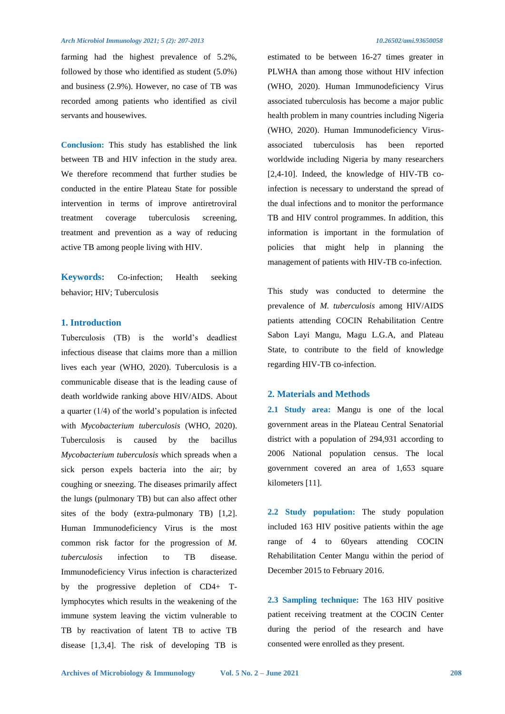#### *Arch Microbiol Immunology 2021; 5 (2): 207-2013 10.26502/ami.93650058*

farming had the highest prevalence of 5.2%, followed by those who identified as student (5.0%) and business (2.9%). However, no case of TB was recorded among patients who identified as civil servants and housewives.

**Conclusion:** This study has established the link between TB and HIV infection in the study area. We therefore recommend that further studies be conducted in the entire Plateau State for possible intervention in terms of improve antiretroviral treatment coverage tuberculosis screening, treatment and prevention as a way of reducing active TB among people living with HIV.

**Keywords:** Co-infection; Health seeking behavior; HIV; Tuberculosis

# **1. Introduction**

Tuberculosis (TB) is the world's deadliest infectious disease that claims more than a million lives each year (WHO, 2020). Tuberculosis is a communicable disease that is the leading cause of death worldwide ranking above HIV/AIDS. About a quarter  $(1/4)$  of the world's population is infected with *Mycobacterium tuberculosis* (WHO, 2020). Tuberculosis is caused by the bacillus *Mycobacterium tuberculosis* which spreads when a sick person expels bacteria into the air; by coughing or sneezing. The diseases primarily affect the lungs (pulmonary TB) but can also affect other sites of the body (extra-pulmonary TB) [1,2]. Human Immunodeficiency Virus is the most common risk factor for the progression of *M. tuberculosis* infection to TB disease. Immunodeficiency Virus infection is characterized by the progressive depletion of CD4+ Tlymphocytes which results in the weakening of the immune system leaving the victim vulnerable to TB by reactivation of latent TB to active TB disease [1,3,4]. The risk of developing TB is

estimated to be between 16-27 times greater in PLWHA than among those without HIV infection (WHO, 2020). Human Immunodeficiency Virus associated tuberculosis has become a major public health problem in many countries including Nigeria (WHO, 2020). Human Immunodeficiency Virusassociated tuberculosis has been reported worldwide including Nigeria by many researchers [2,4-10]. Indeed, the knowledge of HIV-TB coinfection is necessary to understand the spread of the dual infections and to monitor the performance TB and HIV control programmes. In addition, this information is important in the formulation of policies that might help in planning the management of patients with HIV-TB co-infection.

This study was conducted to determine the prevalence of *M. tuberculosis* among HIV/AIDS patients attending COCIN Rehabilitation Centre Sabon Layi Mangu, Magu L.G.A, and Plateau State, to contribute to the field of knowledge regarding HIV-TB co-infection.

### **2. Materials and Methods**

**2.1 Study area:** Mangu is one of the local government areas in the Plateau Central Senatorial district with a population of 294,931 according to 2006 National population census. The local government covered an area of 1,653 square kilometers [11].

**2.2 Study population:** The study population included 163 HIV positive patients within the age range of 4 to 60years attending COCIN Rehabilitation Center Mangu within the period of December 2015 to February 2016.

**2.3 Sampling technique:** The 163 HIV positive patient receiving treatment at the COCIN Center during the period of the research and have consented were enrolled as they present.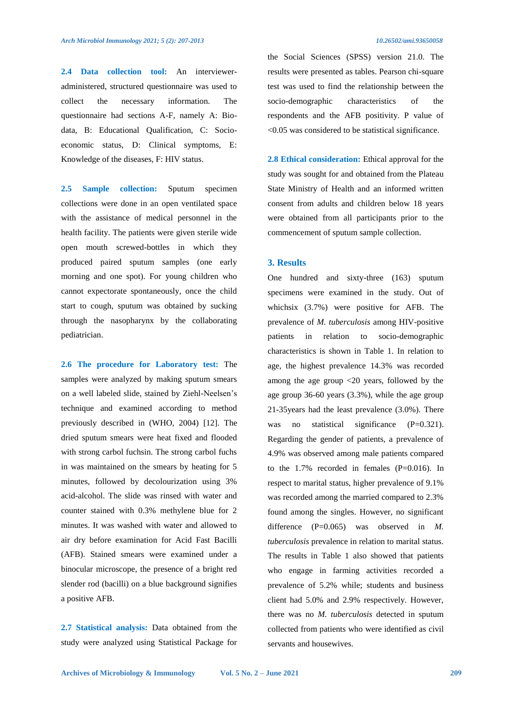**2.4 Data collection tool:** An intervieweradministered, structured questionnaire was used to collect the necessary information. The questionnaire had sections A-F, namely A: Biodata, B: Educational Qualification, C: Socioeconomic status, D: Clinical symptoms, E: Knowledge of the diseases, F: HIV status.

**2.5 Sample collection:** Sputum specimen collections were done in an open ventilated space with the assistance of medical personnel in the health facility. The patients were given sterile wide open mouth screwed-bottles in which they produced paired sputum samples (one early morning and one spot). For young children who cannot expectorate spontaneously, once the child start to cough, sputum was obtained by sucking through the nasopharynx by the collaborating pediatrician.

**2.6 The procedure for Laboratory test:** The samples were analyzed by making sputum smears on a well labeled slide, stained by Ziehl-Neelsen's technique and examined according to method previously described in (WHO, 2004) [12]. The dried sputum smears were heat fixed and flooded with strong carbol fuchsin. The strong carbol fuchs in was maintained on the smears by heating for 5 minutes, followed by decolourization using 3% acid-alcohol. The slide was rinsed with water and counter stained with 0.3% methylene blue for 2 minutes. It was washed with water and allowed to air dry before examination for Acid Fast Bacilli (AFB). Stained smears were examined under a binocular microscope, the presence of a bright red slender rod (bacilli) on a blue background signifies a positive AFB.

**2.7 Statistical analysis:** Data obtained from the study were analyzed using Statistical Package for the Social Sciences (SPSS) version 21.0. The results were presented as tables. Pearson chi-square test was used to find the relationship between the socio-demographic characteristics of the respondents and the AFB positivity. P value of <0.05 was considered to be statistical significance.

**2.8 Ethical consideration:** Ethical approval for the study was sought for and obtained from the Plateau State Ministry of Health and an informed written consent from adults and children below 18 years were obtained from all participants prior to the commencement of sputum sample collection.

#### **3. Results**

One hundred and sixty-three (163) sputum specimens were examined in the study. Out of whichsix (3.7%) were positive for AFB. The prevalence of *M. tuberculosis* among HIV-positive patients in relation to socio-demographic characteristics is shown in Table 1. In relation to age, the highest prevalence 14.3% was recorded among the age group <20 years, followed by the age group 36-60 years (3.3%), while the age group 21-35years had the least prevalence (3.0%). There was no statistical significance (P=0.321). Regarding the gender of patients, a prevalence of 4.9% was observed among male patients compared to the 1.7% recorded in females (P=0.016). In respect to marital status, higher prevalence of 9.1% was recorded among the married compared to 2.3% found among the singles. However, no significant difference (P=0.065) was observed in *M*. *tuberculosis* prevalence in relation to marital status. The results in Table 1 also showed that patients who engage in farming activities recorded a prevalence of 5.2% while; students and business client had 5.0% and 2.9% respectively. However, there was no *M. tuberculosis* detected in sputum collected from patients who were identified as civil servants and housewives.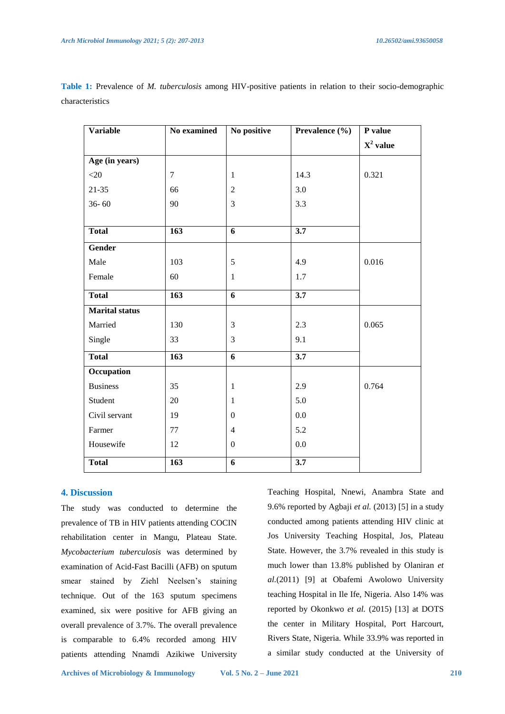| <b>Variable</b>             | No examined | No positive      | Prevalence (%)   | P value     |
|-----------------------------|-------------|------------------|------------------|-------------|
|                             |             |                  |                  | $X^2$ value |
| $\overline{Age}$ (in years) |             |                  |                  |             |
| $<$ 20                      | $\tau$      | $\mathbf{1}$     | 14.3             | 0.321       |
| $21 - 35$                   | 66          | $\overline{2}$   | 3.0              |             |
| $36 - 60$                   | 90          | 3                | 3.3              |             |
|                             |             |                  |                  |             |
| <b>Total</b>                | 163         | 6                | $\overline{3.7}$ |             |
| Gender                      |             |                  |                  |             |
| Male                        | 103         | 5                | 4.9              | 0.016       |
| Female                      | 60          | $\mathbf{1}$     | 1.7              |             |
| <b>Total</b>                | 163         | 6                | $\overline{3.7}$ |             |
| <b>Marital</b> status       |             |                  |                  |             |
| Married                     | 130         | $\mathfrak{Z}$   | 2.3              | 0.065       |
| Single                      | 33          | 3                | 9.1              |             |
| <b>Total</b>                | 163         | 6                | 3.7              |             |
| Occupation                  |             |                  |                  |             |
| <b>Business</b>             | 35          | $\mathbf{1}$     | 2.9              | 0.764       |
| Student                     | 20          | $\mathbf{1}$     | 5.0              |             |
| Civil servant               | 19          | $\overline{0}$   | 0.0              |             |
| Farmer                      | $77\,$      | $\overline{4}$   | 5.2              |             |
| Housewife                   | 12          | $\boldsymbol{0}$ | $0.0\,$          |             |
| <b>Total</b>                | 163         | $\overline{6}$   | $\overline{3.7}$ |             |

**Table 1:** Prevalence of *M. tuberculosis* among HIV-positive patients in relation to their socio-demographic characteristics

## **4. Discussion**

The study was conducted to determine the prevalence of TB in HIV patients attending COCIN rehabilitation center in Mangu, Plateau State. *Mycobacterium tuberculosis* was determined by examination of Acid-Fast Bacilli (AFB) on sputum smear stained by Ziehl Neelsen's staining technique. Out of the 163 sputum specimens examined, six were positive for AFB giving an overall prevalence of 3.7%. The overall prevalence is comparable to 6.4% recorded among HIV patients attending Nnamdi Azikiwe University

Teaching Hospital, Nnewi, Anambra State and 9.6% reported by Agbaji *et al.* (2013) [5] in a study conducted among patients attending HIV clinic at Jos University Teaching Hospital, Jos, Plateau State. However, the 3.7% revealed in this study is much lower than 13.8% published by Olaniran *et al.*(2011) [9] at Obafemi Awolowo University teaching Hospital in Ile Ife, Nigeria. Also 14% was reported by Okonkwo *et al.* (2015) [13] at DOTS the center in Military Hospital, Port Harcourt, Rivers State, Nigeria. While 33.9% was reported in a similar study conducted at the University of

**Archives of Microbiology & Immunology Vol. 5 No. 2 – June 2021 210**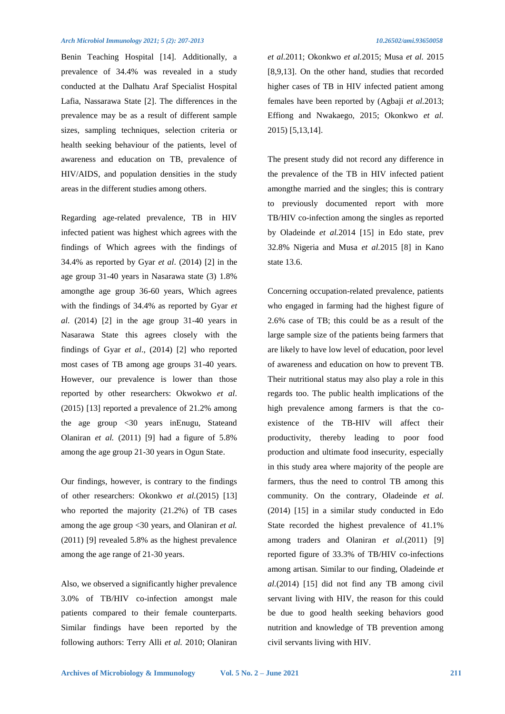#### *Arch Microbiol Immunology 2021; 5 (2): 207-2013 10.26502/ami.93650058*

Benin Teaching Hospital [14]. Additionally, a prevalence of 34.4% was revealed in a study conducted at the Dalhatu Araf Specialist Hospital Lafia, Nassarawa State [2]. The differences in the prevalence may be as a result of different sample sizes, sampling techniques, selection criteria or health seeking behaviour of the patients, level of awareness and education on TB, prevalence of HIV/AIDS, and population densities in the study areas in the different studies among others.

Regarding age-related prevalence, TB in HIV infected patient was highest which agrees with the findings of Which agrees with the findings of 34.4% as reported by Gyar *et al*. (2014) [2] in the age group 31-40 years in Nasarawa state (3) 1.8% amongthe age group 36-60 years, Which agrees with the findings of 34.4% as reported by Gyar *et al*. (2014) [2] in the age group 31-40 years in Nasarawa State this agrees closely with the findings of Gyar *et al*., (2014) [2] who reported most cases of TB among age groups 31-40 years. However, our prevalence is lower than those reported by other researchers: Okwokwo *et al*. (2015) [13] reported a prevalence of 21.2% among the age group <30 years inEnugu, Stateand Olaniran *et al.* (2011) [9] had a figure of 5.8% among the age group 21-30 years in Ogun State.

Our findings, however, is contrary to the findings of other researchers: Okonkwo *et al.*(2015) [13] who reported the majority (21.2%) of TB cases among the age group <30 years, and Olaniran *et al.* (2011) [9] revealed 5.8% as the highest prevalence among the age range of 21-30 years.

Also, we observed a significantly higher prevalence 3.0% of TB/HIV co-infection amongst male patients compared to their female counterparts. Similar findings have been reported by the following authors: Terry Alli *et al.* 2010; Olaniran

*et al.*2011; Okonkwo *et al.*2015; Musa *et al.* 2015 [8,9,13]. On the other hand, studies that recorded higher cases of TB in HIV infected patient among females have been reported by (Agbaji *et al.*2013; Effiong and Nwakaego, 2015; Okonkwo *et al.* 2015) [5,13,14].

The present study did not record any difference in the prevalence of the TB in HIV infected patient amongthe married and the singles; this is contrary to previously documented report with more TB/HIV co-infection among the singles as reported by Oladeinde *et al.*2014 [15] in Edo state, prev 32.8% Nigeria and Musa *et al.*2015 [8] in Kano state 13.6.

Concerning occupation-related prevalence, patients who engaged in farming had the highest figure of 2.6% case of TB; this could be as a result of the large sample size of the patients being farmers that are likely to have low level of education, poor level of awareness and education on how to prevent TB. Their nutritional status may also play a role in this regards too. The public health implications of the high prevalence among farmers is that the coexistence of the TB-HIV will affect their productivity, thereby leading to poor food production and ultimate food insecurity, especially in this study area where majority of the people are farmers, thus the need to control TB among this community. On the contrary, Oladeinde *et al.*  (2014) [15] in a similar study conducted in Edo State recorded the highest prevalence of 41.1% among traders and Olaniran *et al.*(2011) [9] reported figure of 33.3% of TB/HIV co-infections among artisan. Similar to our finding, Oladeinde *et al.*(2014) [15] did not find any TB among civil servant living with HIV, the reason for this could be due to good health seeking behaviors good nutrition and knowledge of TB prevention among civil servants living with HIV.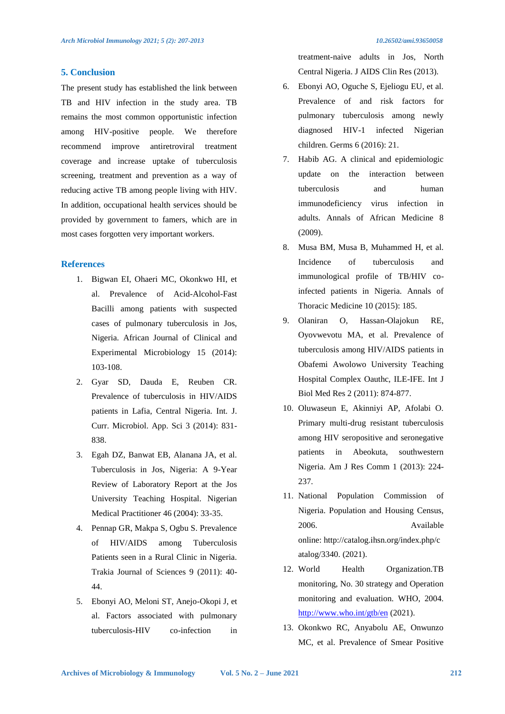### **5. Conclusion**

The present study has established the link between TB and HIV infection in the study area. TB remains the most common opportunistic infection among HIV-positive people. We therefore recommend improve antiretroviral treatment coverage and increase uptake of tuberculosis screening, treatment and prevention as a way of reducing active TB among people living with HIV. In addition, occupational health services should be provided by government to famers, which are in most cases forgotten very important workers.

### **References**

- 1. Bigwan EI, Ohaeri MC, Okonkwo HI, et al. Prevalence of Acid-Alcohol-Fast Bacilli among patients with suspected cases of pulmonary tuberculosis in Jos, Nigeria. African Journal of Clinical and Experimental Microbiology 15 (2014): 103-108.
- 2. Gyar SD, Dauda E, Reuben CR. Prevalence of tuberculosis in HIV/AIDS patients in Lafia, Central Nigeria. Int. J. Curr. Microbiol. App. Sci 3 (2014): 831- 838.
- 3. Egah DZ, Banwat EB, Alanana JA, et al. Tuberculosis in Jos, Nigeria: A 9-Year Review of Laboratory Report at the Jos University Teaching Hospital. Nigerian Medical Practitioner 46 (2004): 33-35.
- 4. Pennap GR, Makpa S, Ogbu S. Prevalence of HIV/AIDS among Tuberculosis Patients seen in a Rural Clinic in Nigeria. Trakia Journal of Sciences 9 (2011): 40- 44.
- 5. Ebonyi AO, Meloni ST, Anejo-Okopi J, et al. Factors associated with pulmonary tuberculosis-HIV co-infection in

treatment-naive adults in Jos, North Central Nigeria. J AIDS Clin Res (2013).

- 6. Ebonyi AO, Oguche S, Ejeliogu EU, et al. Prevalence of and risk factors for pulmonary tuberculosis among newly diagnosed HIV-1 infected Nigerian children. Germs 6 (2016): 21.
- 7. Habib AG. A clinical and epidemiologic update on the interaction between tuberculosis and human immunodeficiency virus infection in adults. Annals of African Medicine 8 (2009).
- 8. Musa BM, Musa B, Muhammed H, et al. Incidence of tuberculosis and immunological profile of TB/HIV coinfected patients in Nigeria. Annals of Thoracic Medicine 10 (2015): 185.
- 9. Olaniran O, Hassan-Olajokun RE, Oyovwevotu MA, et al. Prevalence of tuberculosis among HIV/AIDS patients in Obafemi Awolowo University Teaching Hospital Complex Oauthc, ILE-IFE. Int J Biol Med Res 2 (2011): 874-877.
- 10. Oluwaseun E, Akinniyi AP, Afolabi O. Primary multi-drug resistant tuberculosis among HIV seropositive and seronegative patients in Abeokuta, southwestern Nigeria. Am J Res Comm 1 (2013): 224- 237.
- 11. National Population Commission of Nigeria. Population and Housing Census, 2006. Available online: http://catalog.ihsn.org/index.php/c atalog/3340. (2021).
- 12. World Health Organization.TB monitoring, No. 30 strategy and Operation monitoring and evaluation. WHO, 2004. <http://www.who.int/gtb/en> (2021).
- 13. Okonkwo RC, Anyabolu AE, Onwunzo MC, et al. Prevalence of Smear Positive